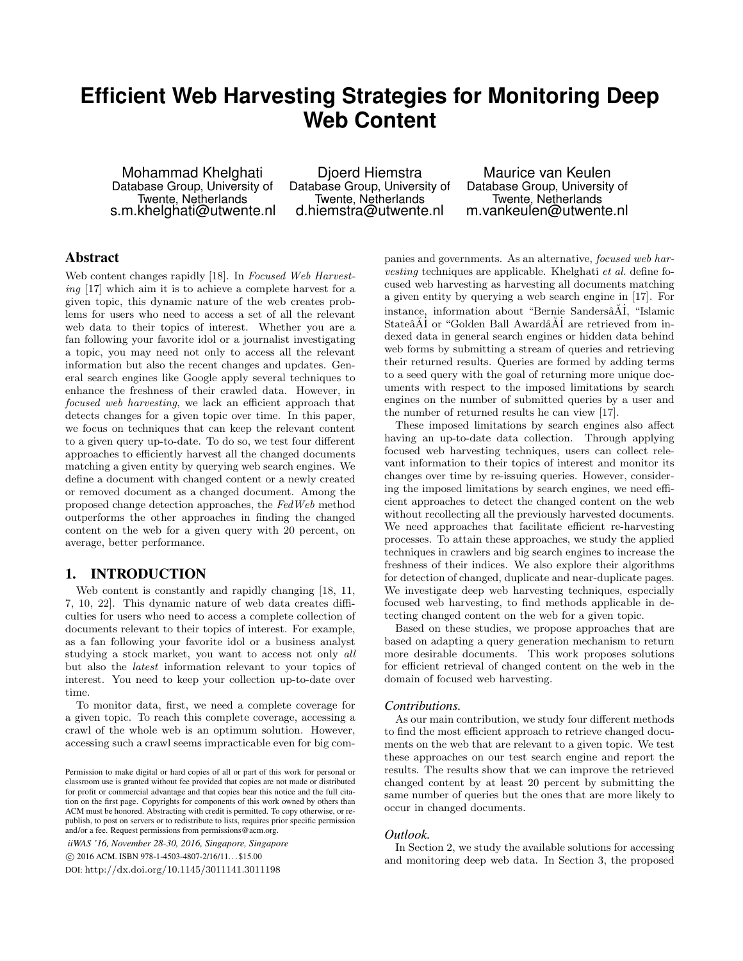# **Efficient Web Harvesting Strategies for Monitoring Deep Web Content**

Mohammad Khelghati Database Group, University of Twente, Netherlands s.m.khelghati@utwente.nl

Djoerd Hiemstra Database Group, University of Twente, Netherlands d.hiemstra@utwente.nl

Maurice van Keulen Database Group, University of Twente, Netherlands m.vankeulen@utwente.nl

# Abstract

Web content changes rapidly [18]. In Focused Web Harvesting [17] which aim it is to achieve a complete harvest for a given topic, this dynamic nature of the web creates problems for users who need to access a set of all the relevant web data to their topics of interest. Whether you are a fan following your favorite idol or a journalist investigating a topic, you may need not only to access all the relevant information but also the recent changes and updates. General search engines like Google apply several techniques to enhance the freshness of their crawled data. However, in focused web harvesting, we lack an efficient approach that detects changes for a given topic over time. In this paper, we focus on techniques that can keep the relevant content to a given query up-to-date. To do so, we test four different approaches to efficiently harvest all the changed documents matching a given entity by querying web search engines. We define a document with changed content or a newly created or removed document as a changed document. Among the proposed change detection approaches, the FedWeb method outperforms the other approaches in finding the changed content on the web for a given query with 20 percent, on average, better performance.

# 1. INTRODUCTION

Web content is constantly and rapidly changing [18, 11, 7, 10, 22]. This dynamic nature of web data creates difficulties for users who need to access a complete collection of documents relevant to their topics of interest. For example, as a fan following your favorite idol or a business analyst studying a stock market, you want to access not only all but also the latest information relevant to your topics of interest. You need to keep your collection up-to-date over time.

To monitor data, first, we need a complete coverage for a given topic. To reach this complete coverage, accessing a crawl of the whole web is an optimum solution. However, accessing such a crawl seems impracticable even for big com-

*iiWAS '16, November 28-30, 2016, Singapore, Singapore* c 2016 ACM. ISBN 978-1-4503-4807-2/16/11. . . \$15.00 DOI: http://dx.doi.org/10.1145/3011141.3011198

panies and governments. As an alternative, focused web harvesting techniques are applicable. Khelghati et al. define focused web harvesting as harvesting all documents matching a given entity by querying a web search engine in [17]. For instance, information about "Bernie Sandersâ $\tilde{A}$ İ, "Islamic Stateâ $\tilde{A}$ I or "Golden Ball Awardâ $\tilde{A}$ I are retrieved from indexed data in general search engines or hidden data behind web forms by submitting a stream of queries and retrieving their returned results. Queries are formed by adding terms to a seed query with the goal of returning more unique documents with respect to the imposed limitations by search engines on the number of submitted queries by a user and the number of returned results he can view [17].

These imposed limitations by search engines also affect having an up-to-date data collection. Through applying focused web harvesting techniques, users can collect relevant information to their topics of interest and monitor its changes over time by re-issuing queries. However, considering the imposed limitations by search engines, we need efficient approaches to detect the changed content on the web without recollecting all the previously harvested documents. We need approaches that facilitate efficient re-harvesting processes. To attain these approaches, we study the applied techniques in crawlers and big search engines to increase the freshness of their indices. We also explore their algorithms for detection of changed, duplicate and near-duplicate pages. We investigate deep web harvesting techniques, especially focused web harvesting, to find methods applicable in detecting changed content on the web for a given topic.

Based on these studies, we propose approaches that are based on adapting a query generation mechanism to return more desirable documents. This work proposes solutions for efficient retrieval of changed content on the web in the domain of focused web harvesting.

#### *Contributions.*

As our main contribution, we study four different methods to find the most efficient approach to retrieve changed documents on the web that are relevant to a given topic. We test these approaches on our test search engine and report the results. The results show that we can improve the retrieved changed content by at least 20 percent by submitting the same number of queries but the ones that are more likely to occur in changed documents.

#### *Outlook.*

In Section 2, we study the available solutions for accessing and monitoring deep web data. In Section 3, the proposed

Permission to make digital or hard copies of all or part of this work for personal or classroom use is granted without fee provided that copies are not made or distributed for profit or commercial advantage and that copies bear this notice and the full citation on the first page. Copyrights for components of this work owned by others than ACM must be honored. Abstracting with credit is permitted. To copy otherwise, or republish, to post on servers or to redistribute to lists, requires prior specific permission and/or a fee. Request permissions from permissions@acm.org.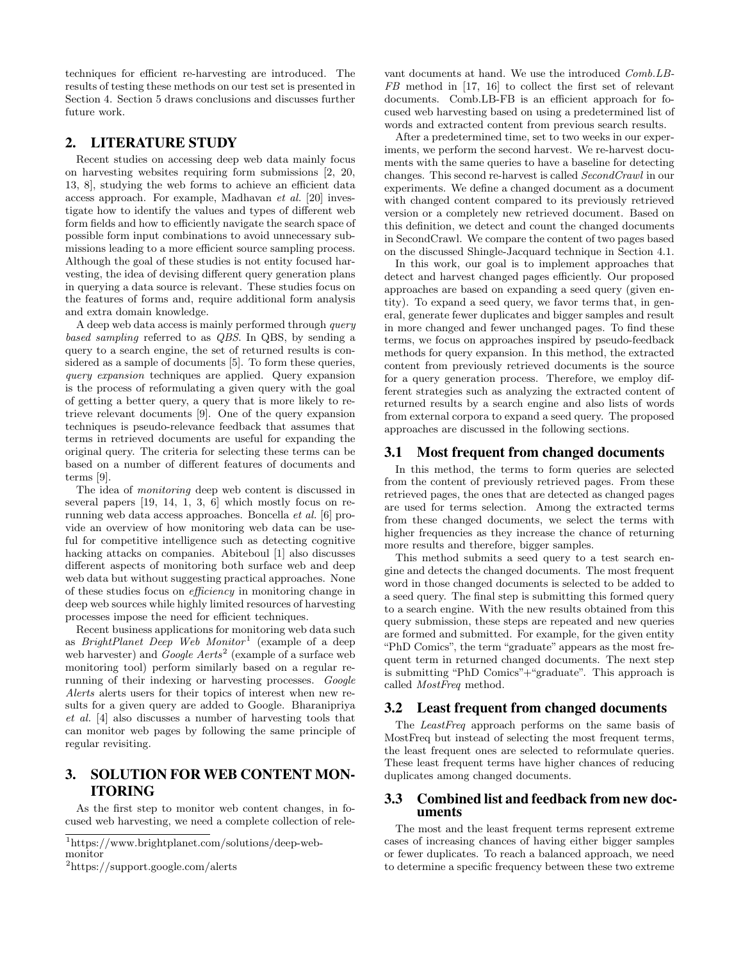techniques for efficient re-harvesting are introduced. The results of testing these methods on our test set is presented in Section 4. Section 5 draws conclusions and discusses further future work.

# 2. LITERATURE STUDY

Recent studies on accessing deep web data mainly focus on harvesting websites requiring form submissions [2, 20, 13, 8], studying the web forms to achieve an efficient data access approach. For example, Madhavan et al. [20] investigate how to identify the values and types of different web form fields and how to efficiently navigate the search space of possible form input combinations to avoid unnecessary submissions leading to a more efficient source sampling process. Although the goal of these studies is not entity focused harvesting, the idea of devising different query generation plans in querying a data source is relevant. These studies focus on the features of forms and, require additional form analysis and extra domain knowledge.

A deep web data access is mainly performed through query based sampling referred to as QBS. In QBS, by sending a query to a search engine, the set of returned results is considered as a sample of documents [5]. To form these queries, query expansion techniques are applied. Query expansion is the process of reformulating a given query with the goal of getting a better query, a query that is more likely to retrieve relevant documents [9]. One of the query expansion techniques is pseudo-relevance feedback that assumes that terms in retrieved documents are useful for expanding the original query. The criteria for selecting these terms can be based on a number of different features of documents and terms [9].

The idea of monitoring deep web content is discussed in several papers [19, 14, 1, 3, 6] which mostly focus on rerunning web data access approaches. Boncella et al. [6] provide an overview of how monitoring web data can be useful for competitive intelligence such as detecting cognitive hacking attacks on companies. Abiteboul [1] also discusses different aspects of monitoring both surface web and deep web data but without suggesting practical approaches. None of these studies focus on efficiency in monitoring change in deep web sources while highly limited resources of harvesting processes impose the need for efficient techniques.

Recent business applications for monitoring web data such as *BrightPlanet Deep Web Monitor*<sup>1</sup> (example of a deep web harvester) and *Google Aerts*<sup>2</sup> (example of a surface web monitoring tool) perform similarly based on a regular rerunning of their indexing or harvesting processes. Google Alerts alerts users for their topics of interest when new results for a given query are added to Google. Bharanipriya et al. [4] also discusses a number of harvesting tools that can monitor web pages by following the same principle of regular revisiting.

# 3. SOLUTION FOR WEB CONTENT MON-ITORING

As the first step to monitor web content changes, in focused web harvesting, we need a complete collection of relevant documents at hand. We use the introduced Comb.LB-FB method in [17, 16] to collect the first set of relevant documents. Comb.LB-FB is an efficient approach for focused web harvesting based on using a predetermined list of words and extracted content from previous search results.

After a predetermined time, set to two weeks in our experiments, we perform the second harvest. We re-harvest documents with the same queries to have a baseline for detecting changes. This second re-harvest is called SecondCrawl in our experiments. We define a changed document as a document with changed content compared to its previously retrieved version or a completely new retrieved document. Based on this definition, we detect and count the changed documents in SecondCrawl. We compare the content of two pages based on the discussed Shingle-Jacquard technique in Section 4.1.

In this work, our goal is to implement approaches that detect and harvest changed pages efficiently. Our proposed approaches are based on expanding a seed query (given entity). To expand a seed query, we favor terms that, in general, generate fewer duplicates and bigger samples and result in more changed and fewer unchanged pages. To find these terms, we focus on approaches inspired by pseudo-feedback methods for query expansion. In this method, the extracted content from previously retrieved documents is the source for a query generation process. Therefore, we employ different strategies such as analyzing the extracted content of returned results by a search engine and also lists of words from external corpora to expand a seed query. The proposed approaches are discussed in the following sections.

# 3.1 Most frequent from changed documents

In this method, the terms to form queries are selected from the content of previously retrieved pages. From these retrieved pages, the ones that are detected as changed pages are used for terms selection. Among the extracted terms from these changed documents, we select the terms with higher frequencies as they increase the chance of returning more results and therefore, bigger samples.

This method submits a seed query to a test search engine and detects the changed documents. The most frequent word in those changed documents is selected to be added to a seed query. The final step is submitting this formed query to a search engine. With the new results obtained from this query submission, these steps are repeated and new queries are formed and submitted. For example, for the given entity "PhD Comics", the term "graduate" appears as the most frequent term in returned changed documents. The next step is submitting "PhD Comics"+"graduate". This approach is called MostFreq method.

#### 3.2 Least frequent from changed documents

The LeastFreq approach performs on the same basis of MostFreq but instead of selecting the most frequent terms, the least frequent ones are selected to reformulate queries. These least frequent terms have higher chances of reducing duplicates among changed documents.

#### 3.3 Combined list and feedback from new documents

The most and the least frequent terms represent extreme cases of increasing chances of having either bigger samples or fewer duplicates. To reach a balanced approach, we need to determine a specific frequency between these two extreme

<sup>1</sup>https://www.brightplanet.com/solutions/deep-webmonitor

<sup>2</sup>https://support.google.com/alerts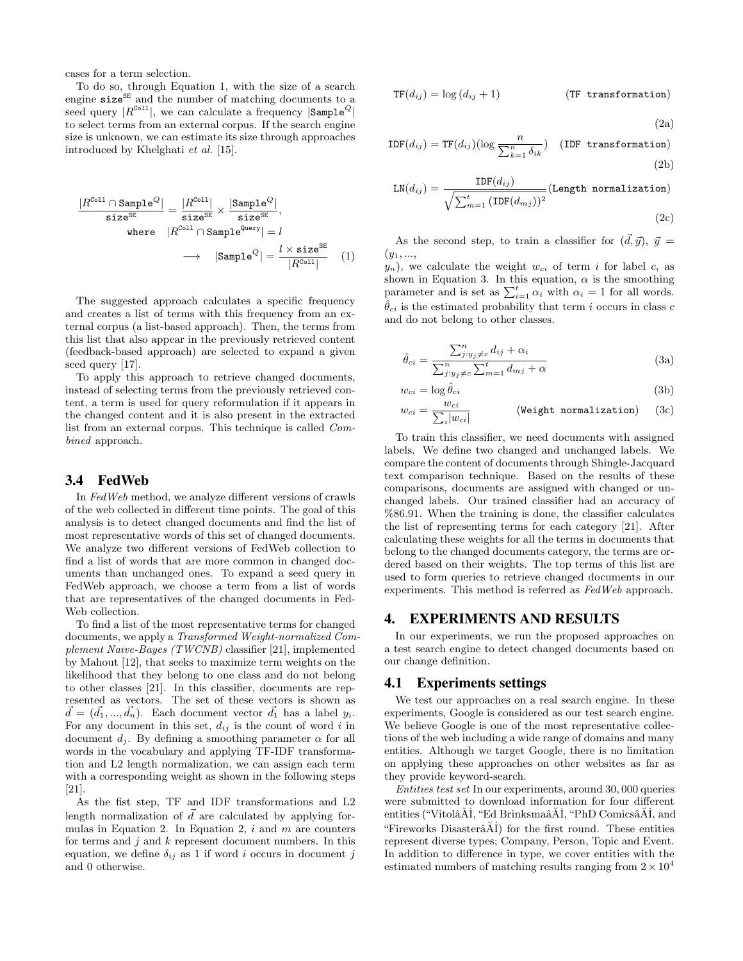cases for a term selection.

To do so, through Equation 1, with the size of a search engine  $size^{SE}$  and the number of matching documents to a seed query  $|R^{\text{Coll}}|$ , we can calculate a frequency  $|\text{Sample}^Q|$ to select terms from an external corpus. If the search engine size is unknown, we can estimate its size through approaches introduced by Khelghati et al. [15].

$$
\frac{|R^{\text{Coll}} \cap \text{Sample}^Q|}{\text{size}^{\text{SE}}} = \frac{|R^{\text{Coll}}|}{\text{size}^{\text{SE}}} \times \frac{|\text{Sample}^Q|}{\text{size}^{\text{SE}}},
$$
\nwhere  $|R^{\text{Coll}} \cap \text{Sample}^{\text{Query}}| = l$ \n
$$
\longrightarrow |\text{Sample}^Q| = \frac{l \times \text{size}^{\text{SE}}}{|R^{\text{Coll}}|}
$$
(1)

The suggested approach calculates a specific frequency and creates a list of terms with this frequency from an external corpus (a list-based approach). Then, the terms from this list that also appear in the previously retrieved content (feedback-based approach) are selected to expand a given seed query [17].

To apply this approach to retrieve changed documents, instead of selecting terms from the previously retrieved content, a term is used for query reformulation if it appears in the changed content and it is also present in the extracted list from an external corpus. This technique is called Combined approach.

#### 3.4 FedWeb

In FedWeb method, we analyze different versions of crawls of the web collected in different time points. The goal of this analysis is to detect changed documents and find the list of most representative words of this set of changed documents. We analyze two different versions of FedWeb collection to find a list of words that are more common in changed documents than unchanged ones. To expand a seed query in FedWeb approach, we choose a term from a list of words that are representatives of the changed documents in Fed-Web collection.

To find a list of the most representative terms for changed documents, we apply a Transformed Weight-normalized Complement Naive-Bayes (TWCNB) classifier [21], implemented by Mahout [12], that seeks to maximize term weights on the likelihood that they belong to one class and do not belong to other classes [21]. In this classifier, documents are represented as vectors. The set of these vectors is shown as  $\vec{d} = (\vec{d_1}, ..., \vec{d_n})$ . Each document vector  $\vec{d_1}$  has a label  $y_i$ . For any document in this set,  $d_{ij}$  is the count of word i in document  $d_i$ . By defining a smoothing parameter  $\alpha$  for all words in the vocabulary and applying TF-IDF transformation and L2 length normalization, we can assign each term with a corresponding weight as shown in the following steps [21].

As the fist step, TF and IDF transformations and L2 length normalization of  $\overrightarrow{d}$  are calculated by applying formulas in Equation 2. In Equation 2,  $i$  and  $m$  are counters for terms and  $j$  and  $k$  represent document numbers. In this equation, we define  $\delta_{ij}$  as 1 if word i occurs in document j and 0 otherwise.

$$
TF(d_{ij}) = \log (d_{ij} + 1)
$$
 (TF transformation)

(2a)

$$
IDF(d_{ij}) = TF(d_{ij})(\log \frac{n}{\sum_{k=1}^{n} \delta_{ik}})
$$
 (IDF transformation) (2b)

$$
LN(d_{ij}) = \frac{IDF(d_{ij})}{\sqrt{\sum_{m=1}^{t} (IDF(d_{mj}))^2}} (Length normalization)
$$
\n(2c)

As the second step, to train a classifier for  $(\vec{d}, \vec{y})$ ,  $\vec{y} =$  $(y_1, ...,$ 

 $y_n$ ), we calculate the weight  $w_{ci}$  of term i for label c, as shown in Equation 3. In this equation,  $\alpha$  is the smoothing parameter and is set as  $\sum_{i=1}^{t} \alpha_i$  with  $\alpha_i = 1$  for all words.  $\hat{\theta}_{ci}$  is the estimated probability that term i occurs in class c and do not belong to other classes.

$$
\hat{\theta}_{ci} = \frac{\sum_{j:y_j \neq c}^{n} d_{ij} + \alpha_i}{\sum_{j:y_j \neq c}^{n} \sum_{m=1}^{t} d_{mj} + \alpha}
$$
\n(3a)

$$
w_{ci} = \log \hat{\theta}_{ci} \tag{3b}
$$

$$
w_{ci} = \frac{w_{ci}}{\sum_{i} |w_{ci}|} \qquad \qquad \text{(Weight normalization)} \qquad (3c)
$$

To train this classifier, we need documents with assigned labels. We define two changed and unchanged labels. We compare the content of documents through Shingle-Jacquard text comparison technique. Based on the results of these comparisons, documents are assigned with changed or unchanged labels. Our trained classifier had an accuracy of %86.91. When the training is done, the classifier calculates the list of representing terms for each category [21]. After calculating these weights for all the terms in documents that belong to the changed documents category, the terms are ordered based on their weights. The top terms of this list are used to form queries to retrieve changed documents in our experiments. This method is referred as FedWeb approach.

# 4. EXPERIMENTS AND RESULTS

In our experiments, we run the proposed approaches on a test search engine to detect changed documents based on our change definition.

#### 4.1 Experiments settings

We test our approaches on a real search engine. In these experiments, Google is considered as our test search engine. We believe Google is one of the most representative collections of the web including a wide range of domains and many entities. Although we target Google, there is no limitation on applying these approaches on other websites as far as they provide keyword-search.

Entities test set In our experiments, around 30, 000 queries were submitted to download information for four different entities ("VitolâĂİ, "Ed BrinksmaâĂİ, "PhD ComicsâĂİ, and "Fireworks Disaster $\tilde{A}$  $\tilde{A}$  $\tilde{I}$ ) for the first round. These entities represent diverse types; Company, Person, Topic and Event. In addition to difference in type, we cover entities with the estimated numbers of matching results ranging from  $2 \times 10^4$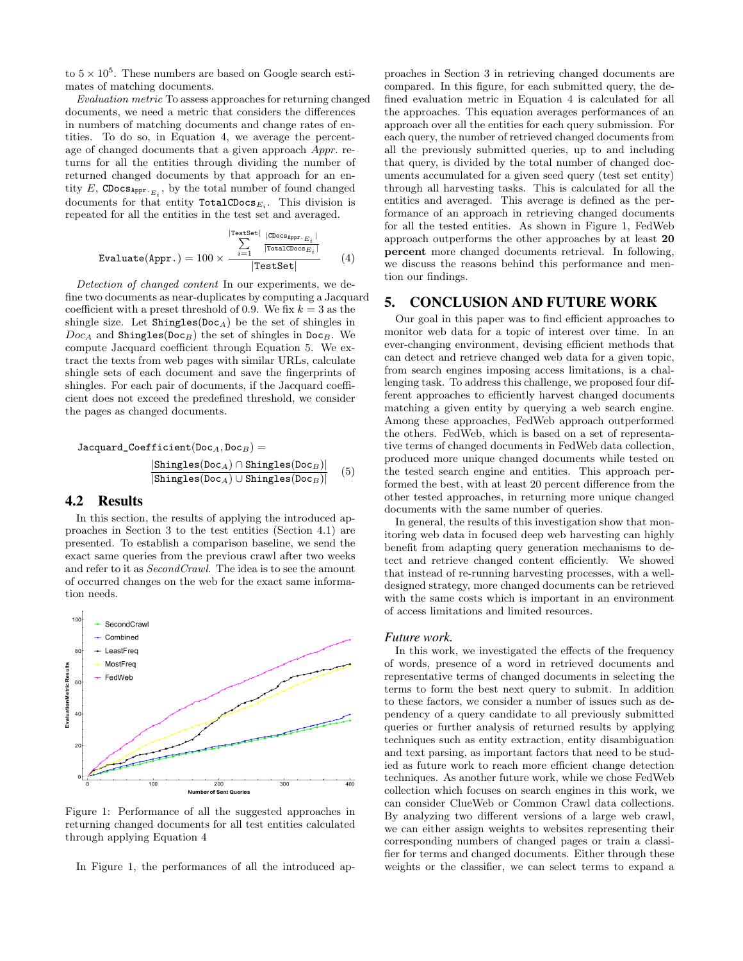to  $5 \times 10^5$ . These numbers are based on Google search estimates of matching documents.

Evaluation metric To assess approaches for returning changed documents, we need a metric that considers the differences in numbers of matching documents and change rates of entities. To do so, in Equation 4, we average the percentage of changed documents that a given approach Appr. returns for all the entities through dividing the number of returned changed documents by that approach for an entity E, CDocs $_{\text{Appr. }E_i}$ , by the total number of found changed documents for that entity  $\texttt{TotalCDoes}_{E_i}$ . This division is repeated for all the entities in the test set and averaged.

$$
\text{Evaluate}(\text{Appr.}) = 100 \times \frac{\sum_{i=1}^{|\text{TestSet}|} \frac{|\text{CDCOSAppr.} E_i|}{|\text{TotalCDocs} E_i|}}{\text{TestSet}} \tag{4}
$$

Detection of changed content In our experiments, we define two documents as near-duplicates by computing a Jacquard coefficient with a preset threshold of 0.9. We fix  $k = 3$  as the shingle size. Let  $\text{Shingle}(Doc_A)$  be the set of shingles in  $Doc_A$  and Shingles(Doc<sub>B</sub>) the set of shingles in Doc<sub>B</sub>. We compute Jacquard coefficient through Equation 5. We extract the texts from web pages with similar URLs, calculate shingle sets of each document and save the fingerprints of shingles. For each pair of documents, if the Jacquard coefficient does not exceed the predefined threshold, we consider the pages as changed documents.

$$
Jacquard\_Coefficient(Doc_A, Doc_B) =
$$
\n
$$
\frac{|\text{Shingles}(\text{Doc}_A) \cap \text{Shingles}(\text{Doc}_B)|}{|\text{Shingles}(\text{Doc}_A) \cup \text{Shingles}(\text{Doc}_B)|} \quad (5)
$$

# 4.2 Results

In this section, the results of applying the introduced approaches in Section 3 to the test entities (Section 4.1) are presented. To establish a comparison baseline, we send the exact same queries from the previous crawl after two weeks and refer to it as SecondCrawl. The idea is to see the amount of occurred changes on the web for the exact same information needs.



Figure 1: Performance of all the suggested approaches in returning changed documents for all test entities calculated through applying Equation 4

In Figure 1, the performances of all the introduced ap-

proaches in Section 3 in retrieving changed documents are compared. In this figure, for each submitted query, the defined evaluation metric in Equation 4 is calculated for all the approaches. This equation averages performances of an approach over all the entities for each query submission. For each query, the number of retrieved changed documents from all the previously submitted queries, up to and including that query, is divided by the total number of changed documents accumulated for a given seed query (test set entity) through all harvesting tasks. This is calculated for all the entities and averaged. This average is defined as the performance of an approach in retrieving changed documents for all the tested entities. As shown in Figure 1, FedWeb approach outperforms the other approaches by at least 20 percent more changed documents retrieval. In following, we discuss the reasons behind this performance and mention our findings.

# 5. CONCLUSION AND FUTURE WORK

Our goal in this paper was to find efficient approaches to monitor web data for a topic of interest over time. In an ever-changing environment, devising efficient methods that can detect and retrieve changed web data for a given topic, from search engines imposing access limitations, is a challenging task. To address this challenge, we proposed four different approaches to efficiently harvest changed documents matching a given entity by querying a web search engine. Among these approaches, FedWeb approach outperformed the others. FedWeb, which is based on a set of representative terms of changed documents in FedWeb data collection, produced more unique changed documents while tested on the tested search engine and entities. This approach performed the best, with at least 20 percent difference from the other tested approaches, in returning more unique changed documents with the same number of queries.

In general, the results of this investigation show that monitoring web data in focused deep web harvesting can highly benefit from adapting query generation mechanisms to detect and retrieve changed content efficiently. We showed that instead of re-running harvesting processes, with a welldesigned strategy, more changed documents can be retrieved with the same costs which is important in an environment of access limitations and limited resources.

#### *Future work.*

In this work, we investigated the effects of the frequency of words, presence of a word in retrieved documents and representative terms of changed documents in selecting the terms to form the best next query to submit. In addition to these factors, we consider a number of issues such as dependency of a query candidate to all previously submitted queries or further analysis of returned results by applying techniques such as entity extraction, entity disambiguation and text parsing, as important factors that need to be studied as future work to reach more efficient change detection techniques. As another future work, while we chose FedWeb collection which focuses on search engines in this work, we can consider ClueWeb or Common Crawl data collections. By analyzing two different versions of a large web crawl, we can either assign weights to websites representing their corresponding numbers of changed pages or train a classifier for terms and changed documents. Either through these weights or the classifier, we can select terms to expand a